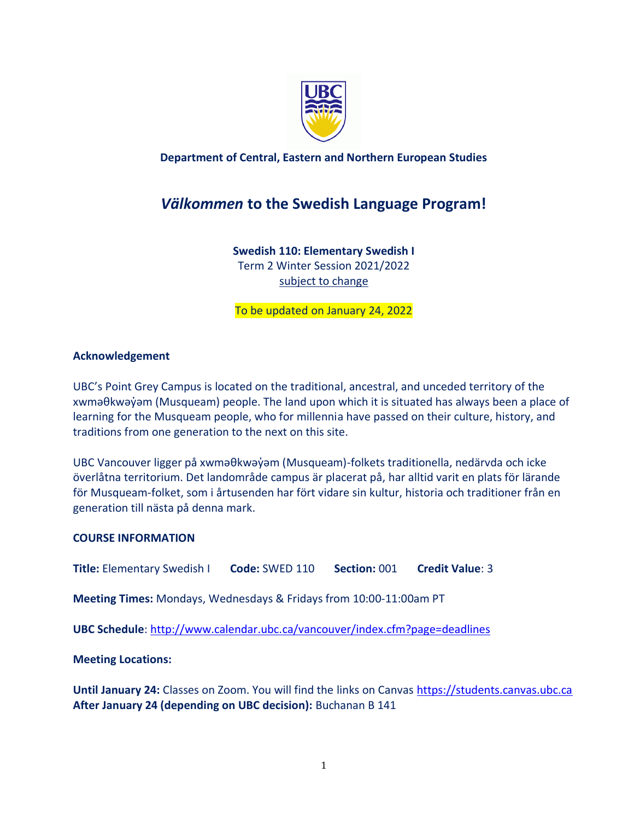

## **Department of Central, Eastern and Northern European Studies**

# *Välkommen* **to the Swedish Language Program!**

**Swedish 110: Elementary Swedish I** Term 2 Winter Session 2021/2022 subject to change

To be updated on January 24, 2022

#### **Acknowledgement**

UBC's Point Grey Campus is located on the traditional, ancestral, and unceded territory of the xwməθkwəy̓əm (Musqueam) people. The land upon which it is situated has always been a place of learning for the Musqueam people, who for millennia have passed on their culture, history, and traditions from one generation to the next on this site.

UBC Vancouver ligger på xwməθkwəy̓əm (Musqueam)-folkets traditionella, nedärvda och icke överlåtna territorium. Det landområde campus är placerat på, har alltid varit en plats för lärande för Musqueam-folket, som i årtusenden har fört vidare sin kultur, historia och traditioner från en generation till nästa på denna mark.

#### **COURSE INFORMATION**

**Title:** Elementary Swedish I **Code:** SWED 110 **Section:** 001 **Credit Value**: 3

**Meeting Times:** Mondays, Wednesdays & Fridays from 10:00-11:00am PT

**UBC Schedule**:<http://www.calendar.ubc.ca/vancouver/index.cfm?page=deadlines>

**Meeting Locations:**

**Until January 24:** Classes on Zoom. You will find the links on Canvas [https://students.canvas.ubc.ca](https://students.canvas.ubc.ca/) **After January 24 (depending on UBC decision):** Buchanan B 141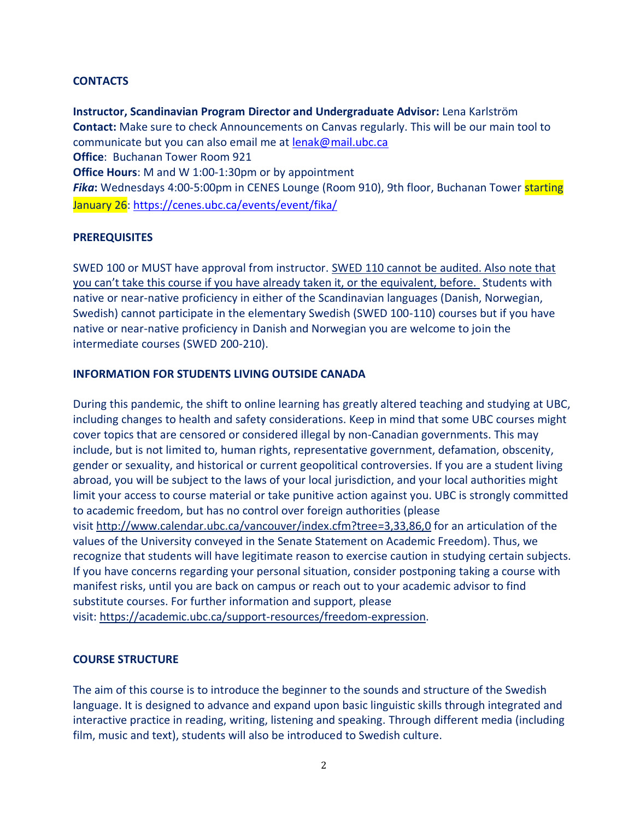## **CONTACTS**

**Instructor, Scandinavian Program Director and Undergraduate Advisor:** Lena Karlström **Contact:** Make sure to check Announcements on Canvas regularly. This will be our main tool to communicate but you can also email me at [lenak@mail.ubc.ca](mailto:lenak@mail.ubc.ca) **Office**: Buchanan Tower Room 921 **Office Hours**: M and W 1:00-1:30pm or by appointment *Fika***:** Wednesdays 4:00-5:00pm in CENES Lounge (Room 910), 9th floor, Buchanan Tower starting January 26:<https://cenes.ubc.ca/events/event/fika/>

## **PREREQUISITES**

SWED 100 or MUST have approval from instructor. SWED 110 cannot be audited. Also note that you can't take this course if you have already taken it, or the equivalent, before. Students with native or near-native proficiency in either of the Scandinavian languages (Danish, Norwegian, Swedish) cannot participate in the elementary Swedish (SWED 100-110) courses but if you have native or near-native proficiency in Danish and Norwegian you are welcome to join the intermediate courses (SWED 200-210).

## **INFORMATION FOR STUDENTS LIVING OUTSIDE CANADA**

During this pandemic, the shift to online learning has greatly altered teaching and studying at UBC, including changes to health and safety considerations. Keep in mind that some UBC courses might cover topics that are censored or considered illegal by non-Canadian governments. This may include, but is not limited to, human rights, representative government, defamation, obscenity, gender or sexuality, and historical or current geopolitical controversies. If you are a student living abroad, you will be subject to the laws of your local jurisdiction, and your local authorities might limit your access to course material or take punitive action against you. UBC is strongly committed to academic freedom, but has no control over foreign authorities (please visit <http://www.calendar.ubc.ca/vancouver/index.cfm?tree=3,33,86,0> for an articulation of the values of the University conveyed in the Senate Statement on Academic Freedom). Thus, we recognize that students will have legitimate reason to exercise caution in studying certain subjects. If you have concerns regarding your personal situation, consider postponing taking a course with manifest risks, until you are back on campus or reach out to your academic advisor to find substitute courses. For further information and support, please visit: [https://academic.ubc.ca/support-resources/freedom-expression.](https://academic.ubc.ca/support-resources/freedom-expression)

# **COURSE STRUCTURE**

The aim of this course is to introduce the beginner to the sounds and structure of the Swedish language. It is designed to advance and expand upon basic linguistic skills through integrated and interactive practice in reading, writing, listening and speaking. Through different media (including film, music and text), students will also be introduced to Swedish culture.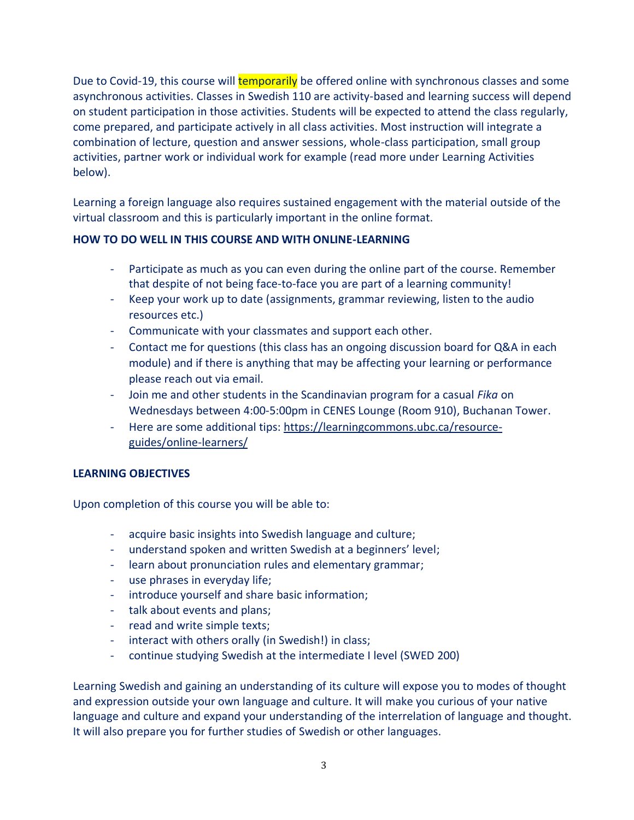Due to Covid-19, this course will **temporarily** be offered online with synchronous classes and some asynchronous activities. Classes in Swedish 110 are activity-based and learning success will depend on student participation in those activities. Students will be expected to attend the class regularly, come prepared, and participate actively in all class activities. Most instruction will integrate a combination of lecture, question and answer sessions, whole-class participation, small group activities, partner work or individual work for example (read more under Learning Activities below).

Learning a foreign language also requires sustained engagement with the material outside of the virtual classroom and this is particularly important in the online format.

# **HOW TO DO WELL IN THIS COURSE AND WITH ONLINE-LEARNING**

- Participate as much as you can even during the online part of the course. Remember that despite of not being face-to-face you are part of a learning community!
- Keep your work up to date (assignments, grammar reviewing, listen to the audio resources etc.)
- Communicate with your classmates and support each other.
- Contact me for questions (this class has an ongoing discussion board for Q&A in each module) and if there is anything that may be affecting your learning or performance please reach out via email.
- Join me and other students in the Scandinavian program for a casual *Fika* on Wednesdays between 4:00-5:00pm in CENES Lounge (Room 910), Buchanan Tower.
- Here are some additional tips: [https://learningcommons.ubc.ca/resource](https://learningcommons.ubc.ca/resource-guides/online-learners/)[guides/online-learners/](https://learningcommons.ubc.ca/resource-guides/online-learners/)

# **LEARNING OBJECTIVES**

Upon completion of this course you will be able to:

- acquire basic insights into Swedish language and culture;
- understand spoken and written Swedish at a beginners' level;
- learn about pronunciation rules and elementary grammar;
- use phrases in everyday life;
- introduce yourself and share basic information;
- talk about events and plans;
- read and write simple texts;
- interact with others orally (in Swedish!) in class;
- continue studying Swedish at the intermediate I level (SWED 200)

Learning Swedish and gaining an understanding of its culture will expose you to modes of thought and expression outside your own language and culture. It will make you curious of your native language and culture and expand your understanding of the interrelation of language and thought. It will also prepare you for further studies of Swedish or other languages.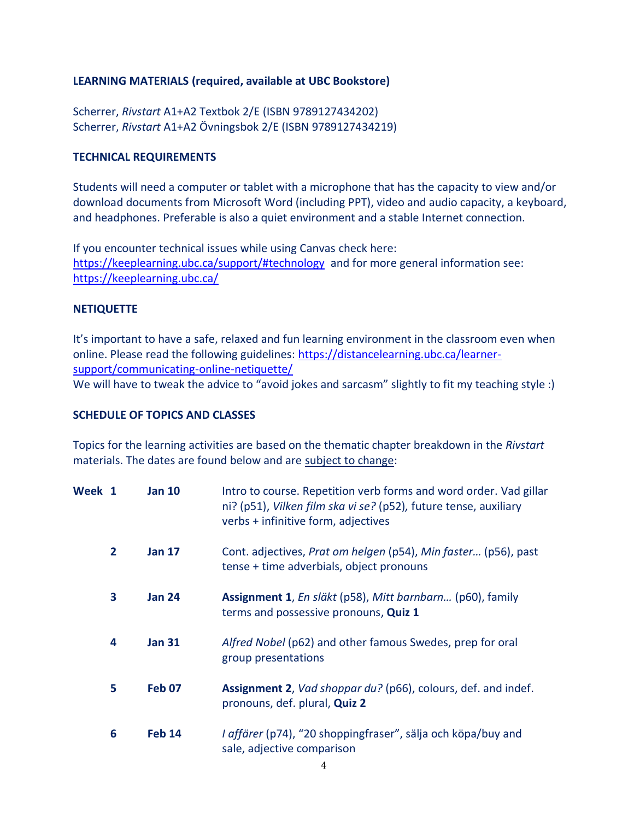#### **LEARNING MATERIALS (required, available at UBC Bookstore)**

Scherrer, *Rivstart* A1+A2 Textbok 2/E (ISBN 9789127434202) Scherrer, *Rivstart* A1+A2 Övningsbok 2/E (ISBN 9789127434219)

#### **TECHNICAL REQUIREMENTS**

Students will need a computer or tablet with a microphone that has the capacity to view and/or download documents from Microsoft Word (including PPT), video and audio capacity, a keyboard, and headphones. Preferable is also a quiet environment and a stable Internet connection.

If you encounter technical issues while using Canvas check here: <https://keeplearning.ubc.ca/support/#technology> and for more general information see: <https://keeplearning.ubc.ca/>

#### **NETIQUETTE**

It's important to have a safe, relaxed and fun learning environment in the classroom even when online. Please read the following guidelines: [https://distancelearning.ubc.ca/learner](https://distancelearning.ubc.ca/learner-support/communicating-online-netiquette/)[support/communicating-online-netiquette/](https://distancelearning.ubc.ca/learner-support/communicating-online-netiquette/)  We will have to tweak the advice to "avoid jokes and sarcasm" slightly to fit my teaching style :)

#### **SCHEDULE OF TOPICS AND CLASSES**

Topics for the learning activities are based on the thematic chapter breakdown in the *Rivstart*  materials. The dates are found below and are subject to change:

| Week 1 |                | <b>Jan 10</b> | Intro to course. Repetition verb forms and word order. Vad gillar<br>ni? (p51), Vilken film ska vi se? (p52), future tense, auxiliary<br>verbs + infinitive form, adjectives |
|--------|----------------|---------------|------------------------------------------------------------------------------------------------------------------------------------------------------------------------------|
|        | $\overline{2}$ | <b>Jan 17</b> | Cont. adjectives, Prat om helgen (p54), Min faster (p56), past<br>tense + time adverbials, object pronouns                                                                   |
|        | 3              | <b>Jan 24</b> | Assignment 1, En släkt (p58), Mitt barnbarn (p60), family<br>terms and possessive pronouns, Quiz 1                                                                           |
|        | 4              | <b>Jan 31</b> | Alfred Nobel (p62) and other famous Swedes, prep for oral<br>group presentations                                                                                             |
|        | 5              | <b>Feb 07</b> | <b>Assignment 2, Vad shoppar du? (p66), colours, def. and indef.</b><br>pronouns, def. plural, Quiz 2                                                                        |
|        | 6              | <b>Feb 14</b> | I affärer (p74), "20 shoppingfraser", sälja och köpa/buy and<br>sale, adjective comparison                                                                                   |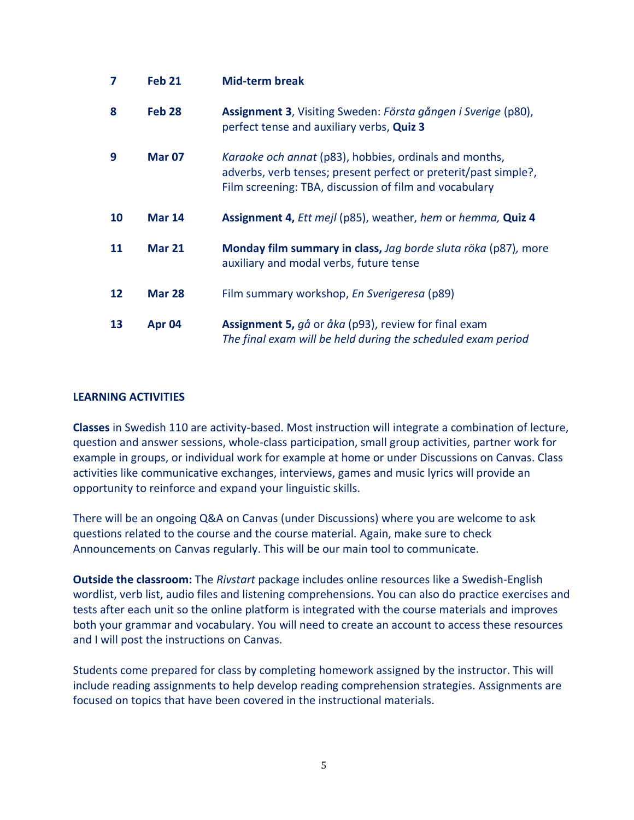| 7  | <b>Feb 21</b>     | <b>Mid-term break</b>                                                                                                                                                               |
|----|-------------------|-------------------------------------------------------------------------------------------------------------------------------------------------------------------------------------|
| 8  | Feb <sub>28</sub> | Assignment 3, Visiting Sweden: Första gången i Sverige (p80),<br>perfect tense and auxiliary verbs, Quiz 3                                                                          |
| 9  | <b>Mar 07</b>     | Karaoke och annat (p83), hobbies, ordinals and months,<br>adverbs, verb tenses; present perfect or preterit/past simple?,<br>Film screening: TBA, discussion of film and vocabulary |
| 10 | <b>Mar 14</b>     | <b>Assignment 4, Ett mejl (p85), weather, hem or hemma, Quiz 4</b>                                                                                                                  |
| 11 | <b>Mar 21</b>     | Monday film summary in class, Jag borde sluta röka (p87), more<br>auxiliary and modal verbs, future tense                                                                           |
| 12 | <b>Mar 28</b>     | Film summary workshop, En Sverigeresa (p89)                                                                                                                                         |
| 13 | Apr 04            | Assignment 5, gå or åka (p93), review for final exam<br>The final exam will be held during the scheduled exam period                                                                |

#### **LEARNING ACTIVITIES**

**Classes** in Swedish 110 are activity-based. Most instruction will integrate a combination of lecture, question and answer sessions, whole-class participation, small group activities, partner work for example in groups, or individual work for example at home or under Discussions on Canvas. Class activities like communicative exchanges, interviews, games and music lyrics will provide an opportunity to reinforce and expand your linguistic skills.

There will be an ongoing Q&A on Canvas (under Discussions) where you are welcome to ask questions related to the course and the course material. Again, make sure to check Announcements on Canvas regularly. This will be our main tool to communicate.

**Outside the classroom:** The *Rivstart* package includes online resources like a Swedish-English wordlist, verb list, audio files and listening comprehensions. You can also do practice exercises and tests after each unit so the online platform is integrated with the course materials and improves both your grammar and vocabulary. You will need to create an account to access these resources and I will post the instructions on Canvas.

Students come prepared for class by completing homework assigned by the instructor. This will include reading assignments to help develop reading comprehension strategies. Assignments are focused on topics that have been covered in the instructional materials.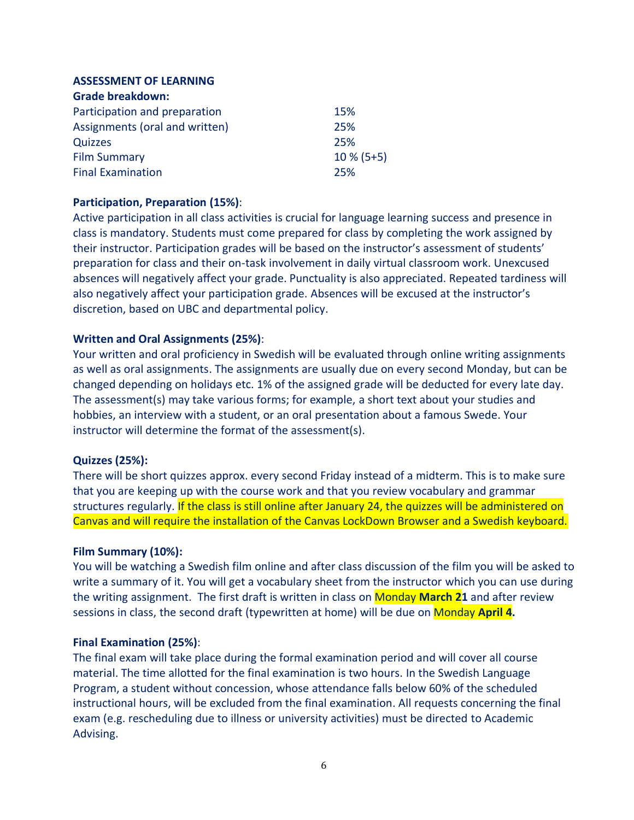# **ASSESSMENT OF LEARNING**

| <b>Grade breakdown:</b>        |              |
|--------------------------------|--------------|
| Participation and preparation  | 15%          |
| Assignments (oral and written) | 25%          |
| Quizzes                        | 25%          |
| <b>Film Summary</b>            | $10\%$ (5+5) |
| <b>Final Examination</b>       | 25%          |

## **Participation, Preparation (15%)**:

Active participation in all class activities is crucial for language learning success and presence in class is mandatory. Students must come prepared for class by completing the work assigned by their instructor. Participation grades will be based on the instructor's assessment of students' preparation for class and their on-task involvement in daily virtual classroom work. Unexcused absences will negatively affect your grade. Punctuality is also appreciated. Repeated tardiness will also negatively affect your participation grade. Absences will be excused at the instructor's discretion, based on UBC and departmental policy.

## **Written and Oral Assignments (25%)**:

Your written and oral proficiency in Swedish will be evaluated through online writing assignments as well as oral assignments. The assignments are usually due on every second Monday, but can be changed depending on holidays etc. 1% of the assigned grade will be deducted for every late day. The assessment(s) may take various forms; for example, a short text about your studies and hobbies, an interview with a student, or an oral presentation about a famous Swede. Your instructor will determine the format of the assessment(s).

## **Quizzes (25%):**

There will be short quizzes approx. every second Friday instead of a midterm. This is to make sure that you are keeping up with the course work and that you review vocabulary and grammar structures regularly. If the class is still online after January 24, the quizzes will be administered on Canvas and will require the installation of the Canvas LockDown Browser and a Swedish keyboard.

## **Film Summary (10%):**

You will be watching a Swedish film online and after class discussion of the film you will be asked to write a summary of it. You will get a vocabulary sheet from the instructor which you can use during the writing assignment. The first draft is written in class on Monday **March 21** and after review sessions in class, the second draft (typewritten at home) will be due on Monday **April 4.**

## **Final Examination (25%)**:

The final exam will take place during the formal examination period and will cover all course material. The time allotted for the final examination is two hours. In the Swedish Language Program, a student without concession, whose attendance falls below 60% of the scheduled instructional hours, will be excluded from the final examination. All requests concerning the final exam (e.g. rescheduling due to illness or university activities) must be directed to Academic Advising.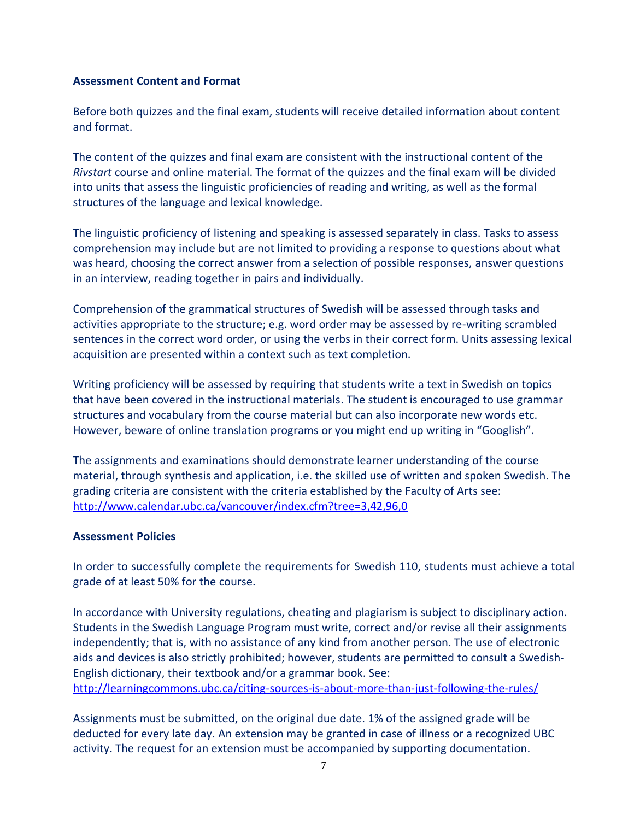#### **Assessment Content and Format**

Before both quizzes and the final exam, students will receive detailed information about content and format.

The content of the quizzes and final exam are consistent with the instructional content of the *Rivstart* course and online material. The format of the quizzes and the final exam will be divided into units that assess the linguistic proficiencies of reading and writing, as well as the formal structures of the language and lexical knowledge.

The linguistic proficiency of listening and speaking is assessed separately in class. Tasks to assess comprehension may include but are not limited to providing a response to questions about what was heard, choosing the correct answer from a selection of possible responses, answer questions in an interview, reading together in pairs and individually.

Comprehension of the grammatical structures of Swedish will be assessed through tasks and activities appropriate to the structure; e.g. word order may be assessed by re-writing scrambled sentences in the correct word order, or using the verbs in their correct form. Units assessing lexical acquisition are presented within a context such as text completion.

Writing proficiency will be assessed by requiring that students write a text in Swedish on topics that have been covered in the instructional materials. The student is encouraged to use grammar structures and vocabulary from the course material but can also incorporate new words etc. However, beware of online translation programs or you might end up writing in "Googlish".

The assignments and examinations should demonstrate learner understanding of the course material, through synthesis and application, i.e. the skilled use of written and spoken Swedish. The grading criteria are consistent with the criteria established by the Faculty of Arts see: <http://www.calendar.ubc.ca/vancouver/index.cfm?tree=3,42,96,0>

## **Assessment Policies**

In order to successfully complete the requirements for Swedish 110, students must achieve a total grade of at least 50% for the course.

In accordance with University regulations, cheating and plagiarism is subject to disciplinary action. Students in the Swedish Language Program must write, correct and/or revise all their assignments independently; that is, with no assistance of any kind from another person. The use of electronic aids and devices is also strictly prohibited; however, students are permitted to consult a Swedish-English dictionary, their textbook and/or a grammar book. See: <http://learningcommons.ubc.ca/citing-sources-is-about-more-than-just-following-the-rules/>

Assignments must be submitted, on the original due date. 1% of the assigned grade will be deducted for every late day. An extension may be granted in case of illness or a recognized UBC activity. The request for an extension must be accompanied by supporting documentation.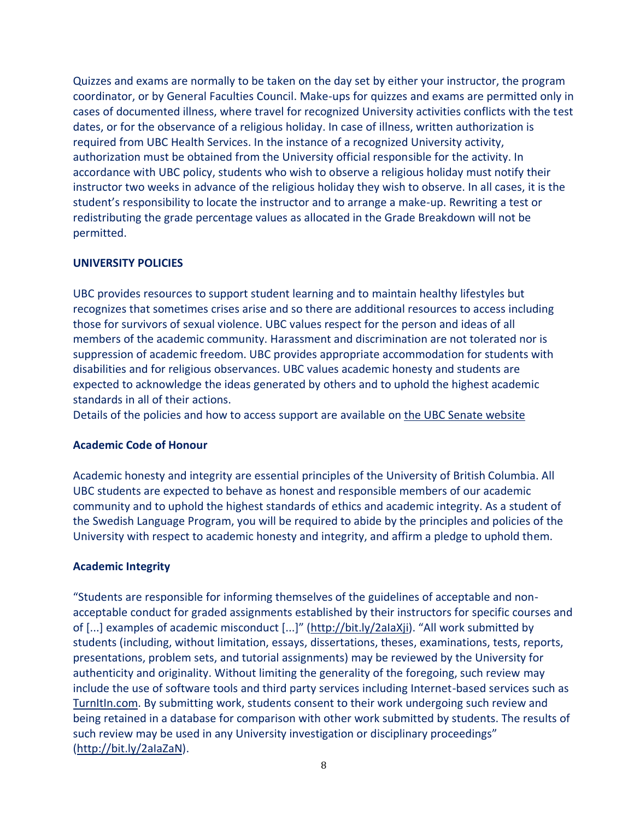Quizzes and exams are normally to be taken on the day set by either your instructor, the program coordinator, or by General Faculties Council. Make-ups for quizzes and exams are permitted only in cases of documented illness, where travel for recognized University activities conflicts with the test dates, or for the observance of a religious holiday. In case of illness, written authorization is required from UBC Health Services. In the instance of a recognized University activity, authorization must be obtained from the University official responsible for the activity. In accordance with UBC policy, students who wish to observe a religious holiday must notify their instructor two weeks in advance of the religious holiday they wish to observe. In all cases, it is the student's responsibility to locate the instructor and to arrange a make-up. Rewriting a test or redistributing the grade percentage values as allocated in the Grade Breakdown will not be permitted.

## **UNIVERSITY POLICIES**

UBC provides resources to support student learning and to maintain healthy lifestyles but recognizes that sometimes crises arise and so there are additional resources to access including those for survivors of sexual violence. UBC values respect for the person and ideas of all members of the academic community. Harassment and discrimination are not tolerated nor is suppression of academic freedom. UBC provides appropriate accommodation for students with disabilities and for religious observances. UBC values academic honesty and students are expected to acknowledge the ideas generated by others and to uphold the highest academic standards in all of their actions.

Details of the policies and how to access support are available on the UBC [Senate website](https://senate.ubc.ca/policies-resources-support-student-success)

## **Academic Code of Honour**

Academic honesty and integrity are essential principles of the University of British Columbia. All UBC students are expected to behave as honest and responsible members of our academic community and to uphold the highest standards of ethics and academic integrity. As a student of the Swedish Language Program, you will be required to abide by the principles and policies of the University with respect to academic honesty and integrity, and affirm a pledge to uphold them.

## **Academic Integrity**

"Students are responsible for informing themselves of the guidelines of acceptable and nonacceptable conduct for graded assignments established by their instructors for specific courses and of [...] examples of academic misconduct [...]" ([http://bit.ly/2aIaXji](https://www.mail.ubc.ca/owa/redir.aspx?C=SRWR6RgRKVNZU5VQ9f4tu8wdW5FUkyes6gxYhRYsRMyOenucdbDVCA..&URL=http%3a%2f%2fbit.ly%2f2aIaXji)). "All work submitted by students (including, without limitation, essays, dissertations, theses, examinations, tests, reports, presentations, problem sets, and tutorial assignments) may be reviewed by the University for authenticity and originality. Without limiting the generality of the foregoing, such review may include the use of software tools and third party services including Internet-based services such as [TurnItIn.com.](https://www.mail.ubc.ca/owa/redir.aspx?C=gbw3Ird0iF4Mg6AoKRthp4qXd1gXvXoGjXMFp8fY7EiOenucdbDVCA..&URL=http%3a%2f%2fTurnItIn.com) By submitting work, students consent to their work undergoing such review and being retained in a database for comparison with other work submitted by students. The results of such review may be used in any University investigation or disciplinary proceedings" [\(http://bit.ly/2aIaZaN\)](https://www.mail.ubc.ca/owa/redir.aspx?C=I_jhjRRKoLeTwYaR4_vR8yLqbRu9cxdzRTynECE-yfaOenucdbDVCA..&URL=http%3a%2f%2fbit.ly%2f2aIaZaN).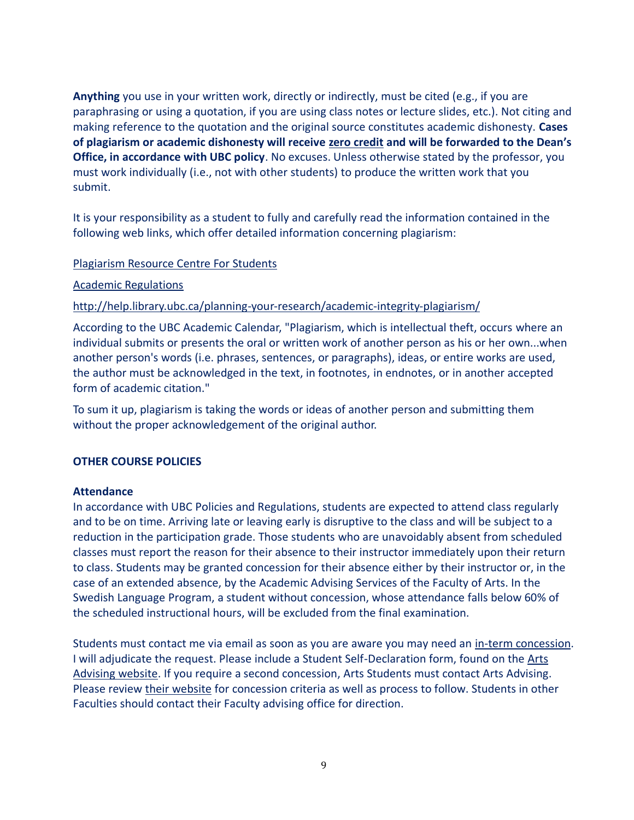**Anything** you use in your written work, directly or indirectly, must be cited (e.g., if you are paraphrasing or using a quotation, if you are using class notes or lecture slides, etc.). Not citing and making reference to the quotation and the original source constitutes academic dishonesty. **Cases of plagiarism or academic dishonesty will receive zero credit and will be forwarded to the Dean's Office, in accordance with UBC policy**. No excuses. Unless otherwise stated by the professor, you must work individually (i.e., not with other students) to produce the written work that you submit.

It is your responsibility as a student to fully and carefully read the information contained in the following web links, which offer detailed information concerning plagiarism:

#### [Plagiarism Resource Centre For Students](http://www.library.ubc.ca/home/plagiarism/#_blank)

#### [Academic Regulations](http://www.students.ubc.ca/calendar/index.cfm?tree=3,54,111,959#_blank)

#### <http://help.library.ubc.ca/planning-your-research/academic-integrity-plagiarism/>

According to the UBC Academic Calendar, "Plagiarism, which is intellectual theft, occurs where an individual submits or presents the oral or written work of another person as his or her own...when another person's words (i.e. phrases, sentences, or paragraphs), ideas, or entire works are used, the author must be acknowledged in the text, in footnotes, in endnotes, or in another accepted form of academic citation."

To sum it up, plagiarism is taking the words or ideas of another person and submitting them without the proper acknowledgement of the original author.

## **OTHER COURSE POLICIES**

#### **Attendance**

In accordance with UBC Policies and Regulations, students are expected to attend class regularly and to be on time. Arriving late or leaving early is disruptive to the class and will be subject to a reduction in the participation grade. Those students who are unavoidably absent from scheduled classes must report the reason for their absence to their instructor immediately upon their return to class. Students may be granted concession for their absence either by their instructor or, in the case of an extended absence, by the Academic Advising Services of the Faculty of Arts. In the Swedish Language Program, a student without concession, whose attendance falls below 60% of the scheduled instructional hours, will be excluded from the final examination.

Students must contact me via email as soon as you are aware you may need an [in-term concession.](https://www.mail.ubc.ca/owa/redir.aspx?C=XA_Si1tbGcTX0wbcIagUJXXxrsAv60cOBoSj4Wq_9t-iP6B98jDXCA..&URL=http%3a%2f%2fwww.calendar.ubc.ca%2fvancouver%2findex.cfm%3ftree%3d3%2c329%2c0%2c0%2326592) I will adjudicate the request. Please include a Student Self-Declaration form, found on the [Arts](https://www.mail.ubc.ca/owa/redir.aspx?C=s0lJR-ns8OwKvgyVfw68SLkGDjwqdVd2CZb4KlKhdx2iP6B98jDXCA..&URL=https%3a%2f%2fstudents.arts.ubc.ca%2fadvising%2facademic-performance%2fhelp-academic-concession%2f)  [Advising website.](https://www.mail.ubc.ca/owa/redir.aspx?C=s0lJR-ns8OwKvgyVfw68SLkGDjwqdVd2CZb4KlKhdx2iP6B98jDXCA..&URL=https%3a%2f%2fstudents.arts.ubc.ca%2fadvising%2facademic-performance%2fhelp-academic-concession%2f) If you require a second concession, Arts Students must contact Arts Advising. Please review [their website](https://www.mail.ubc.ca/owa/redir.aspx?C=s0lJR-ns8OwKvgyVfw68SLkGDjwqdVd2CZb4KlKhdx2iP6B98jDXCA..&URL=https%3a%2f%2fstudents.arts.ubc.ca%2fadvising%2facademic-performance%2fhelp-academic-concession%2f) for concession criteria as well as process to follow. Students in other Faculties should contact their Faculty advising office for direction.